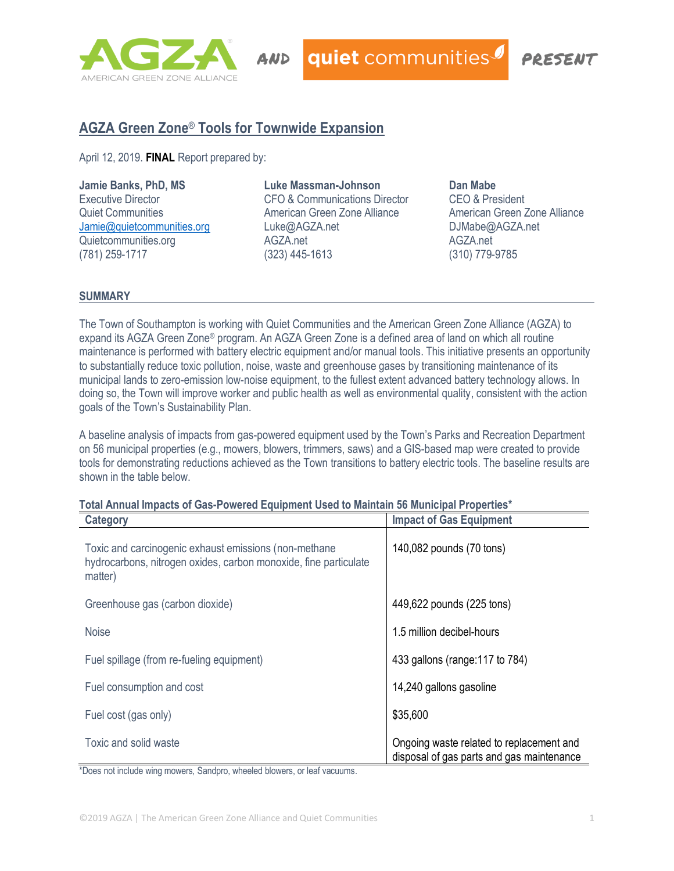

quiet communities

POESENT

# **AGZA Green Zone**® **Tools for Townwide Expansion**

April 12, 2019. **FINAL** Report prepared by:

#### **Jamie Banks, PhD, MS**

Executive Director Quiet Communities [Jamie@quietcommunities.org](mailto:Jamie@quietcommunities.org) Quietcommunities.org (781) 259-1717

#### **Luke Massman-Johnson** CFO & Communications Director American Green Zone Alliance Luke@AGZA.net AGZA.net (323) 445-1613

**Dan Mabe** CEO & President American Green Zone Alliance DJMabe@AGZA.net AGZA.net (310) 779-9785

## **SUMMARY**

The Town of Southampton is working with Quiet Communities and the American Green Zone Alliance (AGZA) to expand its AGZA Green Zone® program. An AGZA Green Zone is a defined area of land on which all routine maintenance is performed with battery electric equipment and/or manual tools. This initiative presents an opportunity to substantially reduce toxic pollution, noise, waste and greenhouse gases by transitioning maintenance of its municipal lands to zero-emission low-noise equipment, to the fullest extent advanced battery technology allows. In doing so, the Town will improve worker and public health as well as environmental quality, consistent with the action goals of the Town's Sustainability Plan.

A baseline analysis of impacts from gas-powered equipment used by the Town's Parks and Recreation Department on 56 municipal properties (e.g., mowers, blowers, trimmers, saws) and a GIS-based map were created to provide tools for demonstrating reductions achieved as the Town transitions to battery electric tools. The baseline results are shown in the table below.

| i vui / iiiiuui iiiipuvu vi vuo i virvivu Lyuipiiiviit vovu to muilituii vo muilivipui i ropertivo<br>Category                       | <b>Impact of Gas Equipment</b>                                                        |
|--------------------------------------------------------------------------------------------------------------------------------------|---------------------------------------------------------------------------------------|
| Toxic and carcinogenic exhaust emissions (non-methane<br>hydrocarbons, nitrogen oxides, carbon monoxide, fine particulate<br>matter) | 140,082 pounds (70 tons)                                                              |
| Greenhouse gas (carbon dioxide)                                                                                                      | 449,622 pounds (225 tons)                                                             |
| <b>Noise</b>                                                                                                                         | 1.5 million decibel-hours                                                             |
| Fuel spillage (from re-fueling equipment)                                                                                            | 433 gallons (range: 117 to 784)                                                       |
| Fuel consumption and cost                                                                                                            | 14,240 gallons gasoline                                                               |
| Fuel cost (gas only)                                                                                                                 | \$35,600                                                                              |
| Toxic and solid waste                                                                                                                | Ongoing waste related to replacement and<br>disposal of gas parts and gas maintenance |

# **Total Annual Impacts of Gas-Powered Equipment Used to Maintain 56 Municipal Properties\***

\*Does not include wing mowers, Sandpro, wheeled blowers, or leaf vacuums.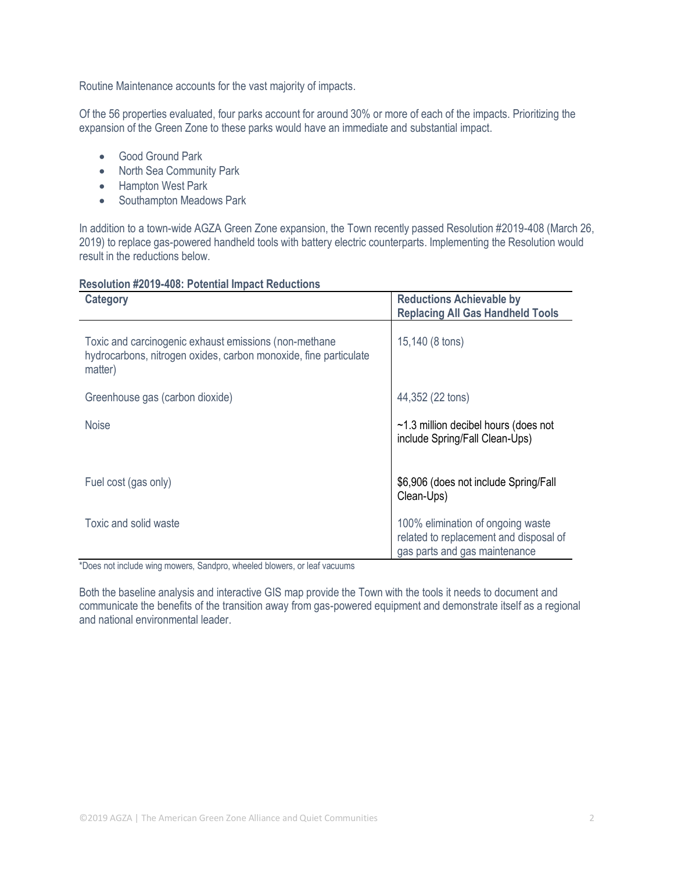Routine Maintenance accounts for the vast majority of impacts.

Of the 56 properties evaluated, four parks account for around 30% or more of each of the impacts. Prioritizing the expansion of the Green Zone to these parks would have an immediate and substantial impact.

- Good Ground Park
- North Sea Community Park
- Hampton West Park
- Southampton Meadows Park

In addition to a town-wide AGZA Green Zone expansion, the Town recently passed Resolution #2019-408 (March 26, 2019) to replace gas-powered handheld tools with battery electric counterparts. Implementing the Resolution would result in the reductions below.

#### **Resolution #2019-408: Potential Impact Reductions**

| <b>Category</b>                                                                                                                      | <b>Reductions Achievable by</b><br><b>Replacing All Gas Handheld Tools</b>                                   |
|--------------------------------------------------------------------------------------------------------------------------------------|--------------------------------------------------------------------------------------------------------------|
| Toxic and carcinogenic exhaust emissions (non-methane<br>hydrocarbons, nitrogen oxides, carbon monoxide, fine particulate<br>matter) | 15,140 (8 tons)                                                                                              |
| Greenhouse gas (carbon dioxide)                                                                                                      | 44,352 (22 tons)                                                                                             |
| <b>Noise</b>                                                                                                                         | $\sim$ 1.3 million decibel hours (does not<br>include Spring/Fall Clean-Ups)                                 |
| Fuel cost (gas only)                                                                                                                 | \$6,906 (does not include Spring/Fall<br>Clean-Ups)                                                          |
| Toxic and solid waste                                                                                                                | 100% elimination of ongoing waste<br>related to replacement and disposal of<br>gas parts and gas maintenance |

\*Does not include wing mowers, Sandpro, wheeled blowers, or leaf vacuums

Both the baseline analysis and interactive GIS map provide the Town with the tools it needs to document and communicate the benefits of the transition away from gas-powered equipment and demonstrate itself as a regional and national environmental leader.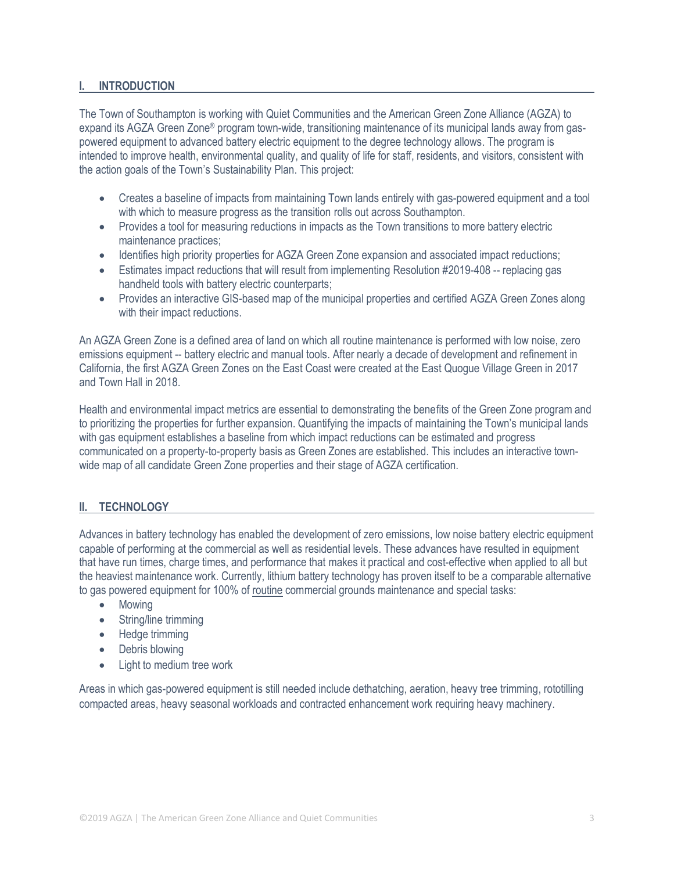#### **I. INTRODUCTION**

The Town of Southampton is working with Quiet Communities and the American Green Zone Alliance (AGZA) to expand its AGZA Green Zone® program town-wide, transitioning maintenance of its municipal lands away from gaspowered equipment to advanced battery electric equipment to the degree technology allows. The program is intended to improve health, environmental quality, and quality of life for staff, residents, and visitors, consistent with the action goals of the Town's Sustainability Plan. This project:

- Creates a baseline of impacts from maintaining Town lands entirely with gas-powered equipment and a tool with which to measure progress as the transition rolls out across Southampton.
- Provides a tool for measuring reductions in impacts as the Town transitions to more battery electric maintenance practices;
- Identifies high priority properties for AGZA Green Zone expansion and associated impact reductions;
- Estimates impact reductions that will result from implementing Resolution #2019-408 -- replacing gas handheld tools with battery electric counterparts;
- Provides an interactive GIS-based map of the municipal properties and certified AGZA Green Zones along with their impact reductions.

An AGZA Green Zone is a defined area of land on which all routine maintenance is performed with low noise, zero emissions equipment -- battery electric and manual tools. After nearly a decade of development and refinement in California, the first AGZA Green Zones on the East Coast were created at the East Quogue Village Green in 2017 and Town Hall in 2018.

Health and environmental impact metrics are essential to demonstrating the benefits of the Green Zone program and to prioritizing the properties for further expansion. Quantifying the impacts of maintaining the Town's municipal lands with gas equipment establishes a baseline from which impact reductions can be estimated and progress communicated on a property-to-property basis as Green Zones are established. This includes an interactive townwide map of all candidate Green Zone properties and their stage of AGZA certification.

## **II. TECHNOLOGY**

Advances in battery technology has enabled the development of zero emissions, low noise battery electric equipment capable of performing at the commercial as well as residential levels. These advances have resulted in equipment that have run times, charge times, and performance that makes it practical and cost-effective when applied to all but the heaviest maintenance work. Currently, lithium battery technology has proven itself to be a comparable alternative to gas powered equipment for 100% of routine commercial grounds maintenance and special tasks:

- Mowing
- String/line trimming
- Hedge trimming
- Debris blowing
- Light to medium tree work

Areas in which gas-powered equipment is still needed include dethatching, aeration, heavy tree trimming, rototilling compacted areas, heavy seasonal workloads and contracted enhancement work requiring heavy machinery.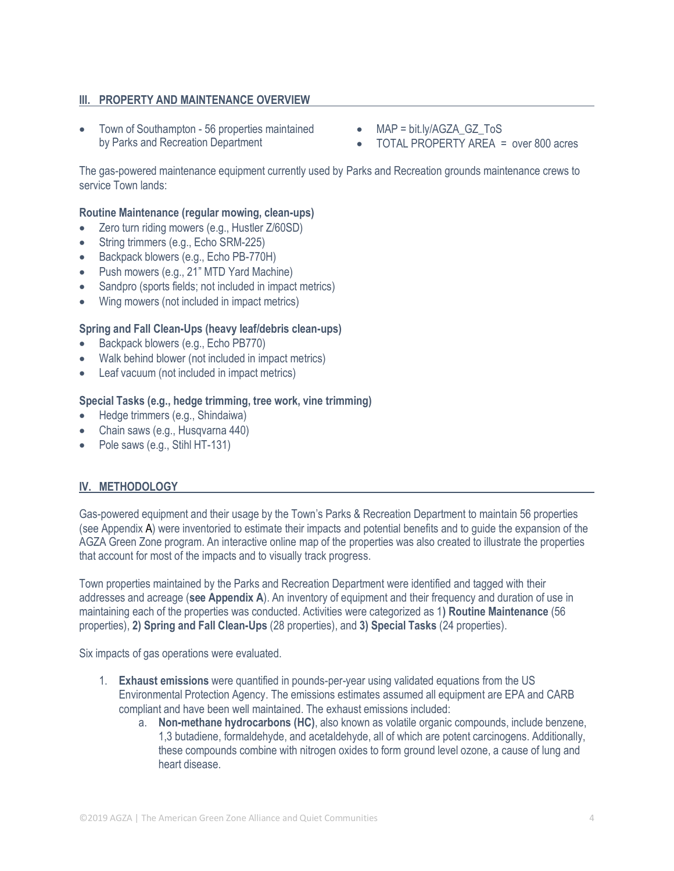# **III. PROPERTY AND MAINTENANCE OVERVIEW**

- Town of Southampton 56 properties maintained by Parks and Recreation Department
- MAP = bit.ly/AGZA\_GZ\_ToS
- TOTAL PROPERTY AREA = over 800 acres

The gas-powered maintenance equipment currently used by Parks and Recreation grounds maintenance crews to service Town lands:

#### **Routine Maintenance (regular mowing, clean-ups)**

- Zero turn riding mowers (e.g., Hustler Z/60SD)
- String trimmers (e.g., Echo SRM-225)
- Backpack blowers (e.g., Echo PB-770H)
- Push mowers (e.g., 21" MTD Yard Machine)
- Sandpro (sports fields; not included in impact metrics)
- Wing mowers (not included in impact metrics)

#### **Spring and Fall Clean-Ups (heavy leaf/debris clean-ups)**

- Backpack blowers (e.g., Echo PB770)
- Walk behind blower (not included in impact metrics)
- Leaf vacuum (not included in impact metrics)

#### **Special Tasks (e.g., hedge trimming, tree work, vine trimming)**

- Hedge trimmers (e.g., Shindaiwa)
- Chain saws (e.g., Husqvarna 440)
- Pole saws (e.g., Stihl HT-131)

## **IV. METHODOLOGY**

Gas-powered equipment and their usage by the Town's Parks & Recreation Department to maintain 56 properties (see Appendix A) were inventoried to estimate their impacts and potential benefits and to guide the expansion of the AGZA Green Zone program. An interactive online map of the properties was also created to illustrate the properties that account for most of the impacts and to visually track progress.

Town properties maintained by the Parks and Recreation Department were identified and tagged with their addresses and acreage (**see Appendix A**). An inventory of equipment and their frequency and duration of use in maintaining each of the properties was conducted. Activities were categorized as 1**) Routine Maintenance** (56 properties), **2) Spring and Fall Clean-Ups** (28 properties), and **3) Special Tasks** (24 properties).

Six impacts of gas operations were evaluated.

- 1. **Exhaust emissions** were quantified in pounds-per-year using validated equations from the US Environmental Protection Agency. The emissions estimates assumed all equipment are EPA and CARB compliant and have been well maintained. The exhaust emissions included:
	- a. **Non-methane hydrocarbons (HC)**, also known as volatile organic compounds, include benzene, 1,3 butadiene, formaldehyde, and acetaldehyde, all of which are potent carcinogens. Additionally, these compounds combine with nitrogen oxides to form ground level ozone, a cause of lung and heart disease.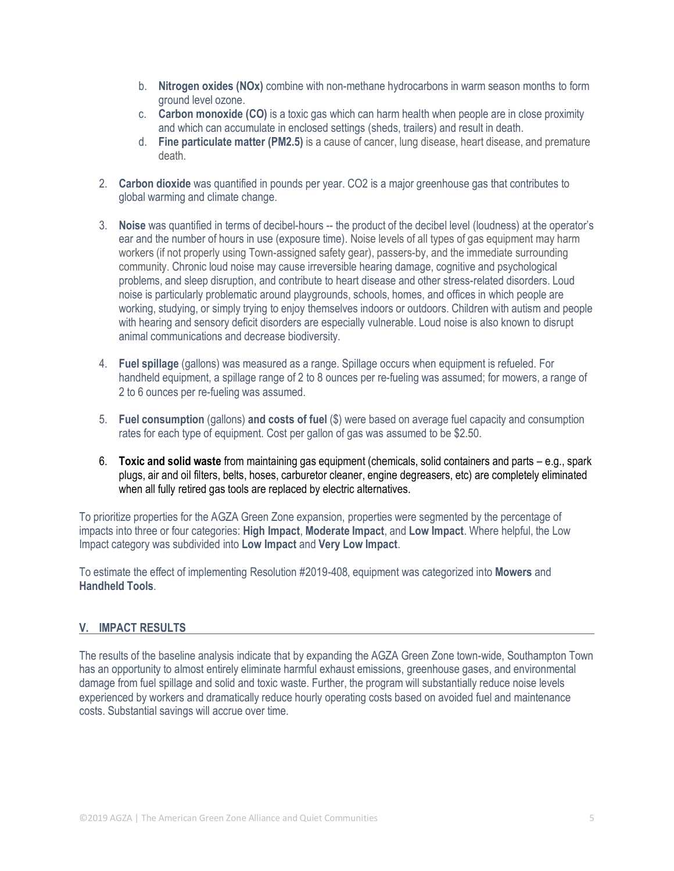- b. **Nitrogen oxides (NOx)** combine with non-methane hydrocarbons in warm season months to form ground level ozone.
- c. **Carbon monoxide (CO)** is a toxic gas which can harm health when people are in close proximity and which can accumulate in enclosed settings (sheds, trailers) and result in death.
- d. **Fine particulate matter (PM2.5)** is a cause of cancer, lung disease, heart disease, and premature death.
- 2. **Carbon dioxide** was quantified in pounds per year. CO2 is a major greenhouse gas that contributes to global warming and climate change.
- 3. **Noise** was quantified in terms of decibel-hours -- the product of the decibel level (loudness) at the operator's ear and the number of hours in use (exposure time). Noise levels of all types of gas equipment may harm workers (if not properly using Town-assigned safety gear), passers-by, and the immediate surrounding community. Chronic loud noise may cause irreversible hearing damage, cognitive and psychological problems, and sleep disruption, and contribute to heart disease and other stress-related disorders. Loud noise is particularly problematic around playgrounds, schools, homes, and offices in which people are working, studying, or simply trying to enjoy themselves indoors or outdoors. Children with autism and people with hearing and sensory deficit disorders are especially vulnerable. Loud noise is also known to disrupt animal communications and decrease biodiversity.
- 4. **Fuel spillage** (gallons) was measured as a range. Spillage occurs when equipment is refueled. For handheld equipment, a spillage range of 2 to 8 ounces per re-fueling was assumed; for mowers, a range of 2 to 6 ounces per re-fueling was assumed.
- 5. **Fuel consumption** (gallons) **and costs of fuel** (\$) were based on average fuel capacity and consumption rates for each type of equipment. Cost per gallon of gas was assumed to be \$2.50.
- 6. **Toxic and solid waste** from maintaining gas equipment (chemicals, solid containers and parts e.g., spark plugs, air and oil filters, belts, hoses, carburetor cleaner, engine degreasers, etc) are completely eliminated when all fully retired gas tools are replaced by electric alternatives.

To prioritize properties for the AGZA Green Zone expansion, properties were segmented by the percentage of impacts into three or four categories: **High Impact**, **Moderate Impact**, and **Low Impact**. Where helpful, the Low Impact category was subdivided into **Low Impact** and **Very Low Impact**.

To estimate the effect of implementing Resolution #2019-408, equipment was categorized into **Mowers** and **Handheld Tools**.

## **V. IMPACT RESULTS**

The results of the baseline analysis indicate that by expanding the AGZA Green Zone town-wide, Southampton Town has an opportunity to almost entirely eliminate harmful exhaust emissions, greenhouse gases, and environmental damage from fuel spillage and solid and toxic waste. Further, the program will substantially reduce noise levels experienced by workers and dramatically reduce hourly operating costs based on avoided fuel and maintenance costs. Substantial savings will accrue over time.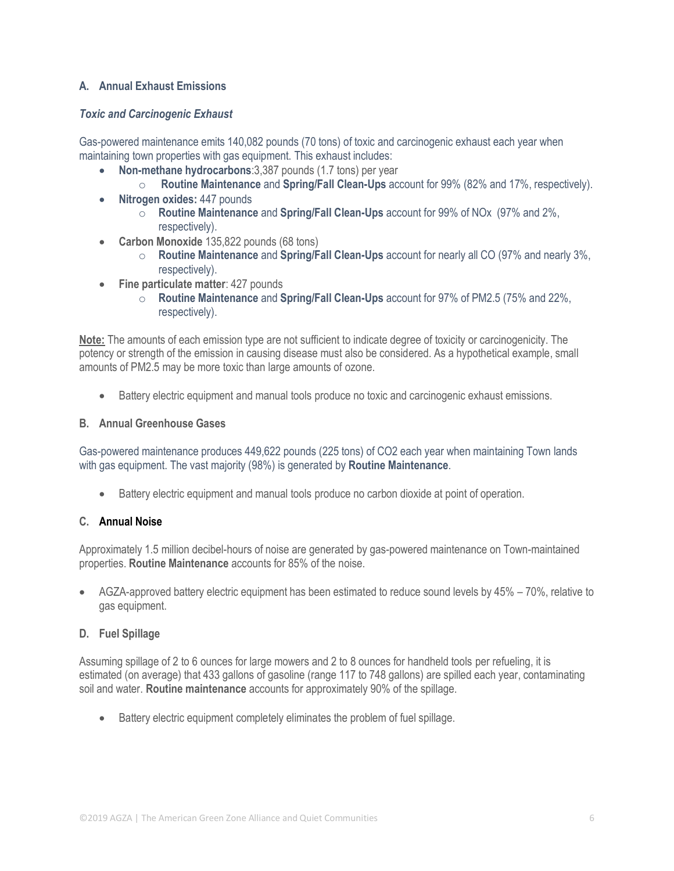# **A. Annual Exhaust Emissions**

## *Toxic and Carcinogenic Exhaust*

Gas-powered maintenance emits 140,082 pounds (70 tons) of toxic and carcinogenic exhaust each year when maintaining town properties with gas equipment. This exhaust includes:

- **Non-methane hydrocarbons**:3,387 pounds (1.7 tons) per year
	- o **Routine Maintenance** and **Spring/Fall Clean-Ups** account for 99% (82% and 17%, respectively).
- **Nitrogen oxides:** 447 pounds
	- o **Routine Maintenance** and **Spring/Fall Clean-Ups** account for 99% of NOx (97% and 2%, respectively).
- **Carbon Monoxide** 135,822 pounds (68 tons)
	- o **Routine Maintenance** and **Spring/Fall Clean-Ups** account for nearly all CO (97% and nearly 3%, respectively).
- **Fine particulate matter**: 427 pounds
	- o **Routine Maintenance** and **Spring/Fall Clean-Ups** account for 97% of PM2.5 (75% and 22%, respectively).

**Note:** The amounts of each emission type are not sufficient to indicate degree of toxicity or carcinogenicity. The potency or strength of the emission in causing disease must also be considered. As a hypothetical example, small amounts of PM2.5 may be more toxic than large amounts of ozone.

• Battery electric equipment and manual tools produce no toxic and carcinogenic exhaust emissions.

## **B. Annual Greenhouse Gases**

Gas-powered maintenance produces 449,622 pounds (225 tons) of CO2 each year when maintaining Town lands with gas equipment. The vast majority (98%) is generated by **Routine Maintenance**.

• Battery electric equipment and manual tools produce no carbon dioxide at point of operation.

# **C. Annual Noise**

Approximately 1.5 million decibel-hours of noise are generated by gas-powered maintenance on Town-maintained properties. **Routine Maintenance** accounts for 85% of the noise.

• AGZA-approved battery electric equipment has been estimated to reduce sound levels by 45% – 70%, relative to gas equipment.

## **D. Fuel Spillage**

Assuming spillage of 2 to 6 ounces for large mowers and 2 to 8 ounces for handheld tools per refueling, it is estimated (on average) that 433 gallons of gasoline (range 117 to 748 gallons) are spilled each year, contaminating soil and water. **Routine maintenance** accounts for approximately 90% of the spillage.

• Battery electric equipment completely eliminates the problem of fuel spillage.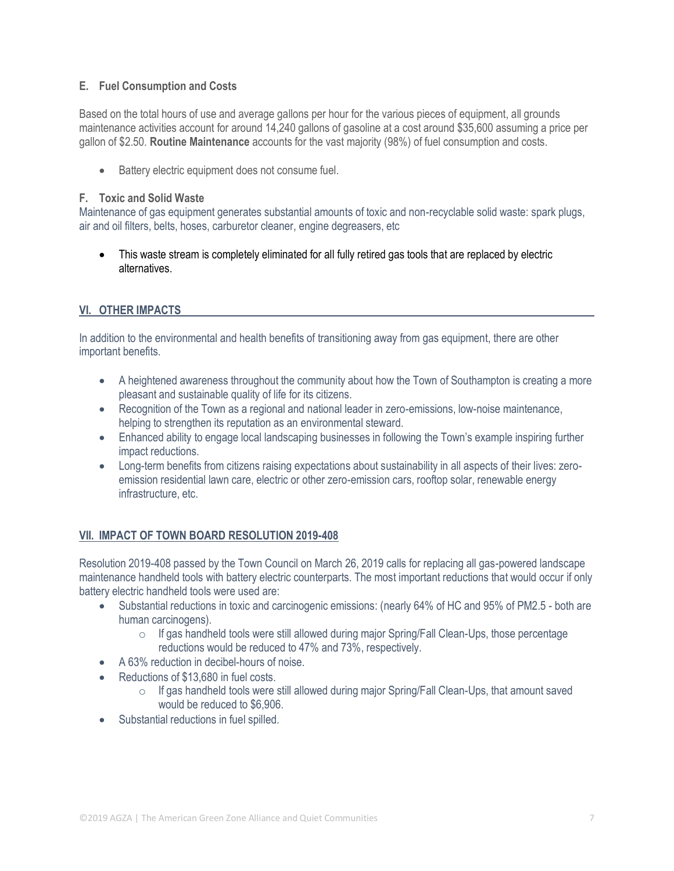# **E. Fuel Consumption and Costs**

Based on the total hours of use and average gallons per hour for the various pieces of equipment, all grounds maintenance activities account for around 14,240 gallons of gasoline at a cost around \$35,600 assuming a price per gallon of \$2.50. **Routine Maintenance** accounts for the vast majority (98%) of fuel consumption and costs.

Battery electric equipment does not consume fuel.

# **F. Toxic and Solid Waste**

Maintenance of gas equipment generates substantial amounts of toxic and non-recyclable solid waste: spark plugs, air and oil filters, belts, hoses, carburetor cleaner, engine degreasers, etc

• This waste stream is completely eliminated for all fully retired gas tools that are replaced by electric alternatives.

# **VI. OTHER IMPACTS**

In addition to the environmental and health benefits of transitioning away from gas equipment, there are other important benefits.

- A heightened awareness throughout the community about how the Town of Southampton is creating a more pleasant and sustainable quality of life for its citizens.
- Recognition of the Town as a regional and national leader in zero-emissions, low-noise maintenance, helping to strengthen its reputation as an environmental steward.
- Enhanced ability to engage local landscaping businesses in following the Town's example inspiring further impact reductions.
- Long-term benefits from citizens raising expectations about sustainability in all aspects of their lives: zeroemission residential lawn care, electric or other zero-emission cars, rooftop solar, renewable energy infrastructure, etc.

# **VII. IMPACT OF TOWN BOARD RESOLUTION 2019-408**

Resolution 2019-408 passed by the Town Council on March 26, 2019 calls for replacing all gas-powered landscape maintenance handheld tools with battery electric counterparts. The most important reductions that would occur if only battery electric handheld tools were used are:

- Substantial reductions in toxic and carcinogenic emissions: (nearly 64% of HC and 95% of PM2.5 both are human carcinogens).
	- $\circ$  If gas handheld tools were still allowed during major Spring/Fall Clean-Ups, those percentage reductions would be reduced to 47% and 73%, respectively.
- A 63% reduction in decibel-hours of noise.
- Reductions of \$13,680 in fuel costs.
	- o If gas handheld tools were still allowed during major Spring/Fall Clean-Ups, that amount saved would be reduced to \$6,906.
- Substantial reductions in fuel spilled.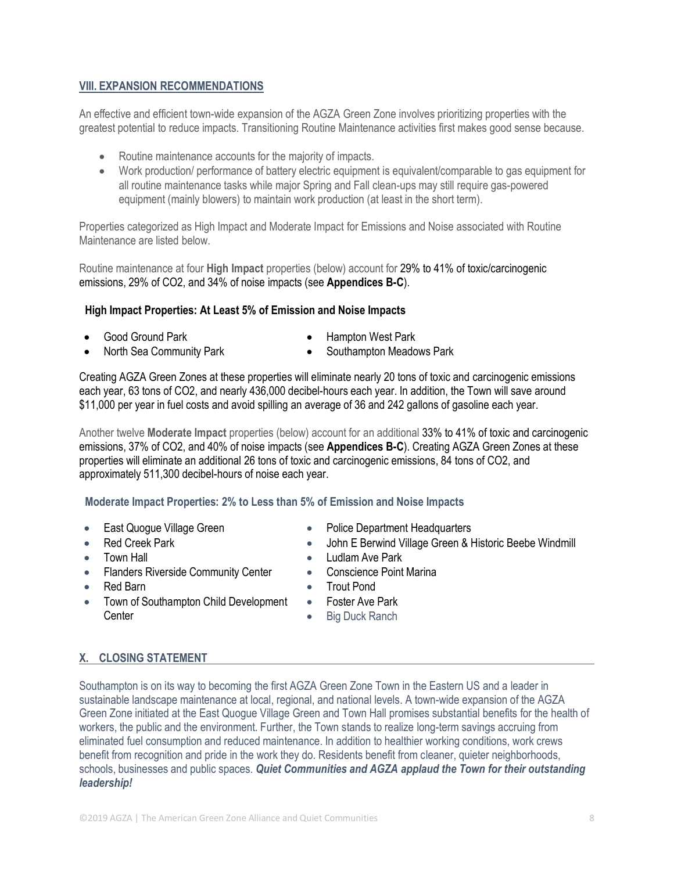# **VIII. EXPANSION RECOMMENDATIONS**

An effective and efficient town-wide expansion of the AGZA Green Zone involves prioritizing properties with the greatest potential to reduce impacts. Transitioning Routine Maintenance activities first makes good sense because.

- Routine maintenance accounts for the majority of impacts.
- Work production/ performance of battery electric equipment is equivalent/comparable to gas equipment for all routine maintenance tasks while major Spring and Fall clean-ups may still require gas-powered equipment (mainly blowers) to maintain work production (at least in the short term).

Properties categorized as High Impact and Moderate Impact for Emissions and Noise associated with Routine Maintenance are listed below.

Routine maintenance at four **High Impact** properties (below) account for 29% to 41% of toxic/carcinogenic emissions, 29% of CO2, and 34% of noise impacts (see **Appendices B-C**).

#### **High Impact Properties: At Least 5% of Emission and Noise Impacts**

- - Good Ground Park Hampton West Park
- North Sea Community Park Southampton Meadows Park
- 

Creating AGZA Green Zones at these properties will eliminate nearly 20 tons of toxic and carcinogenic emissions each year, 63 tons of CO2, and nearly 436,000 decibel-hours each year. In addition, the Town will save around \$11,000 per year in fuel costs and avoid spilling an average of 36 and 242 gallons of gasoline each year.

Another twelve **Moderate Impact** properties (below) account for an additional 33% to 41% of toxic and carcinogenic emissions, 37% of CO2, and 40% of noise impacts (see **Appendices B-C**). Creating AGZA Green Zones at these properties will eliminate an additional 26 tons of toxic and carcinogenic emissions, 84 tons of CO2, and approximately 511,300 decibel-hours of noise each year.

# **Moderate Impact Properties: 2% to Less than 5% of Emission and Noise Impacts**

- 
- 
- 
- Flanders Riverside Community Center Conscience Point Marina
- 
- Town of Southampton Child Development **Center**
- East Quoque Village Green Police Department Headquarters
- Red Creek Park John E Berwind Village Green & Historic Beebe Windmill
	- **Fown Hall Ludlam Ave Park** 
		-
- Red Barn Trout Pond
	- Foster Ave Park
	- Big Duck Ranch

# **X. CLOSING STATEMENT**

Southampton is on its way to becoming the first AGZA Green Zone Town in the Eastern US and a leader in sustainable landscape maintenance at local, regional, and national levels. A town-wide expansion of the AGZA Green Zone initiated at the East Quogue Village Green and Town Hall promises substantial benefits for the health of workers, the public and the environment. Further, the Town stands to realize long-term savings accruing from eliminated fuel consumption and reduced maintenance. In addition to healthier working conditions, work crews benefit from recognition and pride in the work they do. Residents benefit from cleaner, quieter neighborhoods, schools, businesses and public spaces. *Quiet Communities and AGZA applaud the Town for their outstanding leadership!*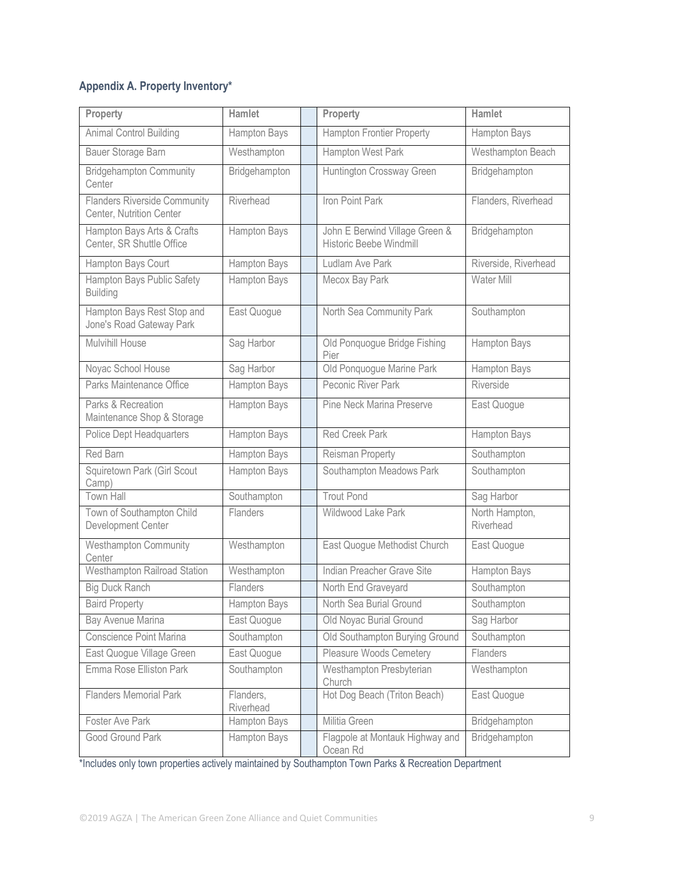# **Appendix A. Property Inventory\***

| Property                                                        | Hamlet                 | Property                                                  | Hamlet                      |  |
|-----------------------------------------------------------------|------------------------|-----------------------------------------------------------|-----------------------------|--|
| Animal Control Building                                         | Hampton Bays           | <b>Hampton Frontier Property</b>                          | Hampton Bays                |  |
| Bauer Storage Barn                                              | Westhampton            | Hampton West Park                                         | Westhampton Beach           |  |
| <b>Bridgehampton Community</b><br>Center                        | Bridgehampton          | Huntington Crossway Green                                 | Bridgehampton               |  |
| <b>Flanders Riverside Community</b><br>Center, Nutrition Center | Riverhead              | Iron Point Park                                           | Flanders, Riverhead         |  |
| Hampton Bays Arts & Crafts<br>Center, SR Shuttle Office         | Hampton Bays           | John E Berwind Village Green &<br>Historic Beebe Windmill | Bridgehampton               |  |
| Hampton Bays Court                                              | <b>Hampton Bays</b>    | Ludlam Ave Park                                           | Riverside, Riverhead        |  |
| Hampton Bays Public Safety<br><b>Building</b>                   | Hampton Bays           | Mecox Bay Park                                            | Water Mill                  |  |
| Hampton Bays Rest Stop and<br>Jone's Road Gateway Park          | East Quogue            | North Sea Community Park                                  | Southampton                 |  |
| Mulvihill House                                                 | Sag Harbor             | Old Ponquogue Bridge Fishing<br>Pier                      | Hampton Bays                |  |
| Noyac School House                                              | Sag Harbor             | Old Ponquoque Marine Park                                 | <b>Hampton Bays</b>         |  |
| Parks Maintenance Office                                        | Hampton Bays           | Peconic River Park                                        | Riverside                   |  |
| Parks & Recreation<br>Maintenance Shop & Storage                | Hampton Bays           | Pine Neck Marina Preserve                                 | East Quogue                 |  |
| Police Dept Headquarters                                        | Hampton Bays           | <b>Red Creek Park</b>                                     | Hampton Bays                |  |
| Red Barn                                                        | Hampton Bays           | Reisman Property                                          | Southampton                 |  |
| Squiretown Park (Girl Scout<br>Camp)                            | Hampton Bays           | Southampton Meadows Park                                  | Southampton                 |  |
| <b>Town Hall</b>                                                | Southampton            | <b>Trout Pond</b>                                         | Sag Harbor                  |  |
| Town of Southampton Child<br>Development Center                 | Flanders               | Wildwood Lake Park                                        | North Hampton,<br>Riverhead |  |
| Westhampton Community<br>Center                                 | Westhampton            | East Quogue Methodist Church                              | East Quogue                 |  |
| Westhampton Railroad Station                                    | Westhampton            | Indian Preacher Grave Site                                | Hampton Bays                |  |
| <b>Big Duck Ranch</b>                                           | Flanders               | North End Graveyard                                       | Southampton                 |  |
| <b>Baird Property</b>                                           | Hampton Bays           | North Sea Burial Ground                                   | Southampton                 |  |
| Bay Avenue Marina                                               | East Quogue            | Old Noyac Burial Ground                                   | Sag Harbor                  |  |
| Conscience Point Marina                                         | Southampton            | Old Southampton Burying Ground                            | Southampton                 |  |
| East Quogue Village Green                                       | East Quogue            | <b>Pleasure Woods Cemetery</b>                            | Flanders                    |  |
| Emma Rose Elliston Park                                         | Southampton            | Westhampton Presbyterian<br>Church                        | Westhampton                 |  |
| <b>Flanders Memorial Park</b>                                   | Flanders,<br>Riverhead | Hot Dog Beach (Triton Beach)                              | East Quogue                 |  |
| Foster Ave Park                                                 | Hampton Bays           | Militia Green                                             | Bridgehampton               |  |
| Good Ground Park                                                | Hampton Bays           | Flagpole at Montauk Highway and<br>Ocean Rd               | Bridgehampton               |  |

\*Includes only town properties actively maintained by Southampton Town Parks & Recreation Department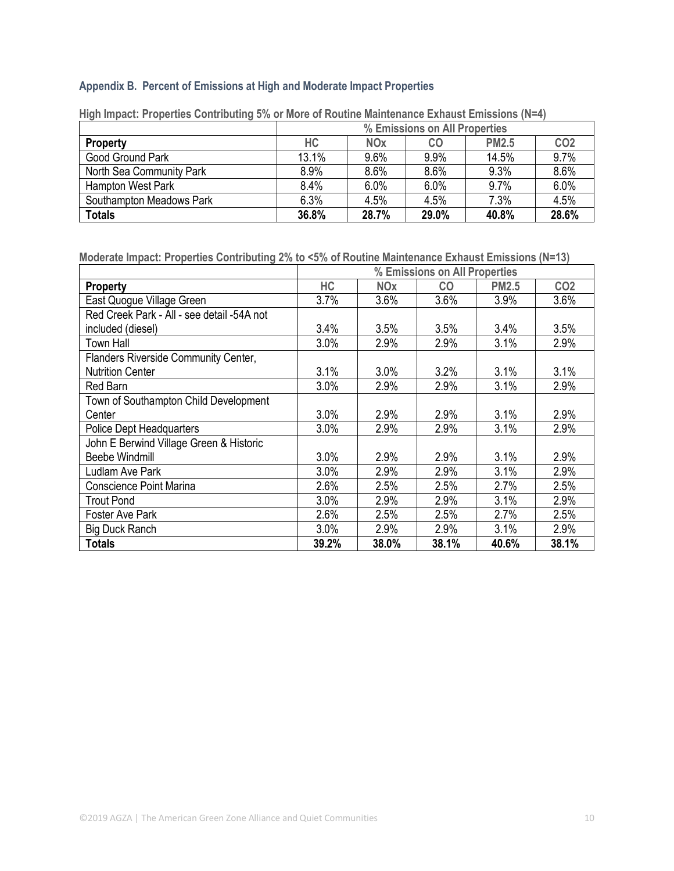# **Appendix B. Percent of Emissions at High and Moderate Impact Properties**

|                          | % Emissions on All Properties |                       |       |              |                 |
|--------------------------|-------------------------------|-----------------------|-------|--------------|-----------------|
| <b>Property</b>          | НC                            | <b>NO<sub>x</sub></b> | CO    | <b>PM2.5</b> | CO <sub>2</sub> |
| Good Ground Park         | 13.1%                         | 9.6%                  | 9.9%  | 14.5%        | 9.7%            |
| North Sea Community Park | 8.9%                          | 8.6%                  | 8.6%  | 9.3%         | 8.6%            |
| Hampton West Park        | 8.4%                          | 6.0%                  | 6.0%  | 9.7%         | 6.0%            |
| Southampton Meadows Park | 6.3%                          | 4.5%                  | 4.5%  | 7.3%         | 4.5%            |
| <b>Totals</b>            | 36.8%                         | 28.7%                 | 29.0% | 40.8%        | 28.6%           |

**High Impact: Properties Contributing 5% or More of Routine Maintenance Exhaust Emissions (N=4)**

**Moderate Impact: Properties Contributing 2% to <5% of Routine Maintenance Exhaust Emissions (N=13)**

|                                            | % Emissions on All Properties |            |           |              |                 |
|--------------------------------------------|-------------------------------|------------|-----------|--------------|-----------------|
| <b>Property</b>                            | HC                            | <b>NOx</b> | <b>CO</b> | <b>PM2.5</b> | CO <sub>2</sub> |
| East Quogue Village Green                  | 3.7%                          | 3.6%       | 3.6%      | 3.9%         | 3.6%            |
| Red Creek Park - All - see detail -54A not |                               |            |           |              |                 |
| included (diesel)                          | 3.4%                          | 3.5%       | 3.5%      | 3.4%         | 3.5%            |
| <b>Town Hall</b>                           | 3.0%                          | 2.9%       | 2.9%      | 3.1%         | 2.9%            |
| Flanders Riverside Community Center,       |                               |            |           |              |                 |
| <b>Nutrition Center</b>                    | 3.1%                          | 3.0%       | 3.2%      | 3.1%         | 3.1%            |
| Red Barn                                   | 3.0%                          | 2.9%       | 2.9%      | 3.1%         | 2.9%            |
| Town of Southampton Child Development      |                               |            |           |              |                 |
| Center                                     | 3.0%                          | 2.9%       | 2.9%      | 3.1%         | 2.9%            |
| Police Dept Headquarters                   | 3.0%                          | 2.9%       | 2.9%      | 3.1%         | 2.9%            |
| John E Berwind Village Green & Historic    |                               |            |           |              |                 |
| <b>Beebe Windmill</b>                      | 3.0%                          | 2.9%       | 2.9%      | 3.1%         | 2.9%            |
| Ludlam Ave Park                            | 3.0%                          | 2.9%       | 2.9%      | 3.1%         | 2.9%            |
| <b>Conscience Point Marina</b>             | 2.6%                          | 2.5%       | 2.5%      | 2.7%         | 2.5%            |
| <b>Trout Pond</b>                          | 3.0%                          | 2.9%       | 2.9%      | 3.1%         | 2.9%            |
| Foster Ave Park                            | 2.6%                          | 2.5%       | 2.5%      | 2.7%         | 2.5%            |
| <b>Big Duck Ranch</b>                      | 3.0%                          | 2.9%       | 2.9%      | 3.1%         | 2.9%            |
| <b>Totals</b>                              | 39.2%                         | 38.0%      | 38.1%     | 40.6%        | 38.1%           |